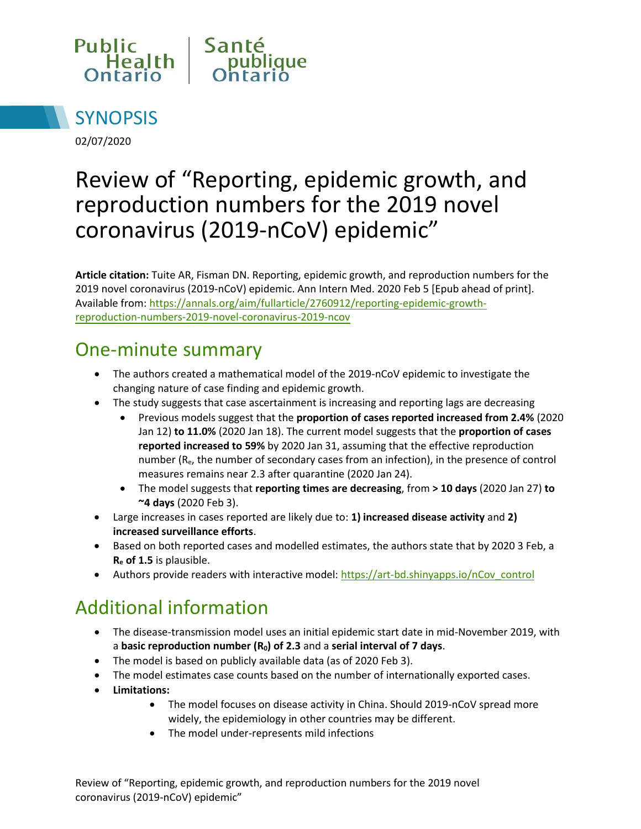



02/07/2020

# Review of "Reporting, epidemic growth, and reproduction numbers for the 2019 novel coronavirus (2019-nCoV) epidemic"

**Article citation:** Tuite AR, Fisman DN. Reporting, epidemic growth, and reproduction numbers for the 2019 novel coronavirus (2019-nCoV) epidemic. Ann Intern Med. 2020 Feb 5 [Epub ahead of print]. Available from[: https://annals.org/aim/fullarticle/2760912/reporting-epidemic-growth](https://annals.org/aim/fullarticle/2760912/reporting-epidemic-growth-reproduction-numbers-2019-novel-coronavirus-2019-ncov)[reproduction-numbers-2019-novel-coronavir](https://annals.org/aim/fullarticle/2760912/reporting-epidemic-growth-reproduction-numbers-2019-novel-coronavirus-2019-ncov)us-2019-ncov

#### One-minute summary

- The authors created a mathematical model of the 2019-nCoV epidemic to investigate the changing nature of case finding and epidemic growth.
- The study suggests that case ascertainment is increasing and reporting lags are decreasing
	- Previous models suggest that the **proportion of cases reported increased from 2.4%** (2020 Jan 12) **to 11.0%** (2020 Jan 18). The current model suggests that the **proportion of cases reported increased to 59%** by 2020 Jan 31, assuming that the effective reproduction number  $(R_e,$  the number of secondary cases from an infection), in the presence of control measures remains near 2.3 after quarantine (2020 Jan 24).
	- The model suggests that **reporting times are decreasing**, from **> 10 days** (2020 Jan 27) **to ~4 days** (2020 Feb 3).
- Large increases in cases reported are likely due to: **1) increased disease activity** and **2) increased surveillance efforts**.
- Based on both reported cases and modelled estimates, the authors state that by 2020 3 Feb, a **R<sup>e</sup> of 1.5** is plausible.
- Authors provide readers with interactive model[: https://art-bd.shinyapps.io/nCov\\_control](https://art-bd.shinyapps.io/nCov_control)

# Additional information

- The disease-transmission model uses an initial epidemic start date in mid-November 2019, with a **basic reproduction number (R0) of 2.3** and a **serial interval of 7 days**.
- The model is based on publicly available data (as of 2020 Feb 3).
- The model estimates case counts based on the number of internationally exported cases.
- **Limitations:**
	- The model focuses on disease activity in China. Should 2019-nCoV spread more widely, the epidemiology in other countries may be different.
	- The model under-represents mild infections

Review of "Reporting, epidemic growth, and reproduction numbers for the 2019 novel coronavirus (2019-nCoV) epidemic"